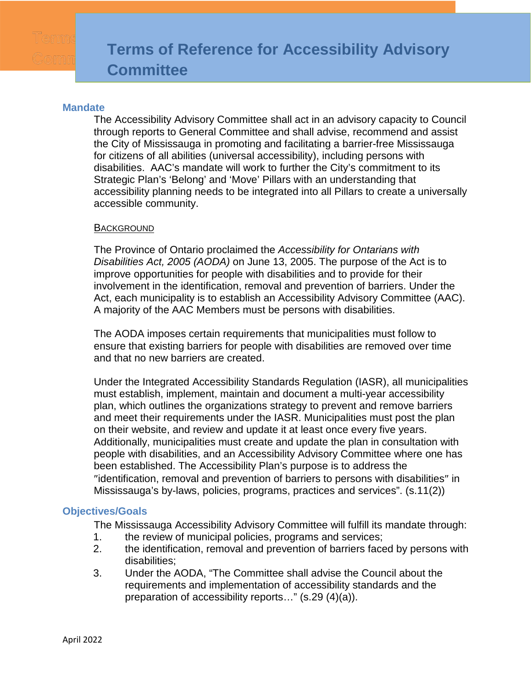## **Mandate**

The Accessibility Advisory Committee shall act in an advisory capacity to Council through reports to General Committee and shall advise, recommend and assist the City of Mississauga in promoting and facilitating a barrier-free Mississauga for citizens of all abilities (universal accessibility), including persons with disabilities. AAC's mandate will work to further the City's commitment to its Strategic Plan's 'Belong' and 'Move' Pillars with an understanding that accessibility planning needs to be integrated into all Pillars to create a universally accessible community.

### **BACKGROUND**

The Province of Ontario proclaimed the *Accessibility for Ontarians with Disabilities Act, 2005 (AODA)* on June 13, 2005. The purpose of the Act is to improve opportunities for people with disabilities and to provide for their involvement in the identification, removal and prevention of barriers. Under the Act, each municipality is to establish an Accessibility Advisory Committee (AAC). A majority of the AAC Members must be persons with disabilities.

The AODA imposes certain requirements that municipalities must follow to ensure that existing barriers for people with disabilities are removed over time and that no new barriers are created.

Under the Integrated Accessibility Standards Regulation (IASR), all municipalities must establish, implement, maintain and document a multi-year accessibility plan, which outlines the organizations strategy to prevent and remove barriers and meet their requirements under the IASR. Municipalities must post the plan on their website, and review and update it at least once every five years. Additionally, municipalities must create and update the plan in consultation with people with disabilities, and an Accessibility Advisory Committee where one has been established. The Accessibility Plan's purpose is to address the ″identification, removal and prevention of barriers to persons with disabilities″ in Mississauga's by-laws, policies, programs, practices and services". (s.11(2))

## **Objectives/Goals**

The Mississauga Accessibility Advisory Committee will fulfill its mandate through:

- 1. the review of municipal policies, programs and services;
- 2. the identification, removal and prevention of barriers faced by persons with disabilities;
- 3. Under the AODA, "The Committee shall advise the Council about the requirements and implementation of accessibility standards and the preparation of accessibility reports…" (s.29 (4)(a)).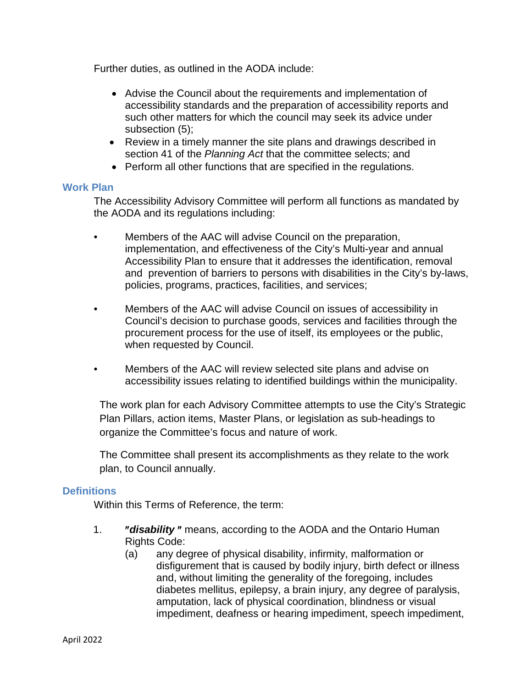Further duties, as outlined in the AODA include:

- Advise the Council about the requirements and implementation of accessibility standards and the preparation of accessibility reports and such other matters for which the council may seek its advice under subsection (5);
- Review in a timely manner the site plans and drawings described in section 41 of the *Planning Act* that the committee selects; and
- Perform all other functions that are specified in the regulations.

## **Work Plan**

The Accessibility Advisory Committee will perform all functions as mandated by the AODA and its regulations including:

- Members of the AAC will advise Council on the preparation, implementation, and effectiveness of the City's Multi-year and annual Accessibility Plan to ensure that it addresses the identification, removal and prevention of barriers to persons with disabilities in the City's by-laws, policies, programs, practices, facilities, and services;
- Members of the AAC will advise Council on issues of accessibility in Council's decision to purchase goods, services and facilities through the procurement process for the use of itself, its employees or the public, when requested by Council.
- Members of the AAC will review selected site plans and advise on accessibility issues relating to identified buildings within the municipality.

The work plan for each Advisory Committee attempts to use the City's Strategic Plan Pillars, action items, Master Plans, or legislation as sub-headings to organize the Committee's focus and nature of work.

The Committee shall present its accomplishments as they relate to the work plan, to Council annually.

# **Definitions**

Within this Terms of Reference, the term:

- 1. ″*disability* ″ means, according to the AODA and the Ontario Human Rights Code:
	- (a) any degree of physical disability, infirmity, malformation or disfigurement that is caused by bodily injury, birth defect or illness and, without limiting the generality of the foregoing, includes diabetes mellitus, epilepsy, a brain injury, any degree of paralysis, amputation, lack of physical coordination, blindness or visual impediment, deafness or hearing impediment, speech impediment,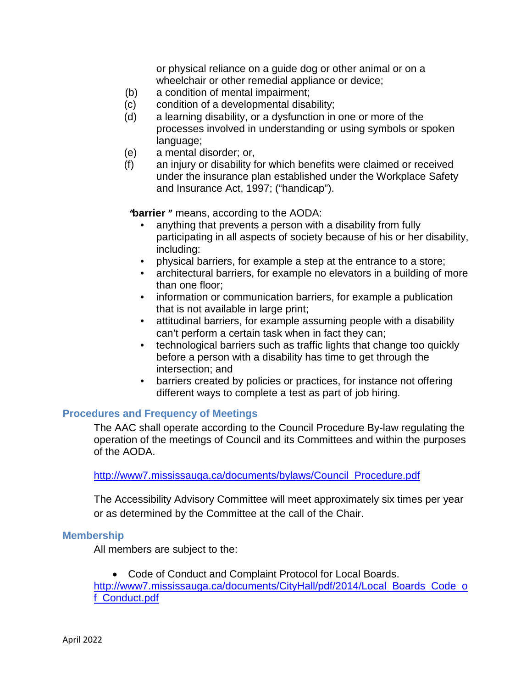or physical reliance on a guide dog or other animal or on a wheelchair or other remedial appliance or device;

- (b) a condition of mental impairment;
- (c) condition of a developmental disability;
- (d) a learning disability, or a dysfunction in one or more of the processes involved in understanding or using symbols or spoken language;
- (e) a mental disorder; or,
- (f) an injury or disability for which benefits were claimed or received under the insurance plan established under the Workplace Safety and Insurance Act, 1997; ("handicap").

″**barrier** ″ means, according to the AODA:

- anything that prevents a person with a disability from fully participating in all aspects of society because of his or her disability, including:
- physical barriers, for example a step at the entrance to a store;
- architectural barriers, for example no elevators in a building of more than one floor;
- information or communication barriers, for example a publication that is not available in large print;
- attitudinal barriers, for example assuming people with a disability can't perform a certain task when in fact they can;
- technological barriers such as traffic lights that change too quickly before a person with a disability has time to get through the intersection; and
- barriers created by policies or practices, for instance not offering different ways to complete a test as part of job hiring.

## **Procedures and Frequency of Meetings**

The AAC shall operate according to the Council Procedure By-law regulating the operation of the meetings of Council and its Committees and within the purposes of the AODA.

[http://www7.mississauga.ca/documents/bylaws/Council\\_Procedure.pdf](http://www7.mississauga.ca/documents/bylaws/Council_Procedure.pdf)

The Accessibility Advisory Committee will meet approximately six times per year or as determined by the Committee at the call of the Chair.

#### **Membership**

All members are subject to the:

• Code of Conduct and Complaint Protocol for Local Boards. [http://www7.mississauga.ca/documents/CityHall/pdf/2014/Local\\_Boards\\_Code\\_o](http://www7.mississauga.ca/documents/CityHall/pdf/2014/Local_Boards_Code_of_Conduct.pdf) [f\\_Conduct.pdf](http://www7.mississauga.ca/documents/CityHall/pdf/2014/Local_Boards_Code_of_Conduct.pdf)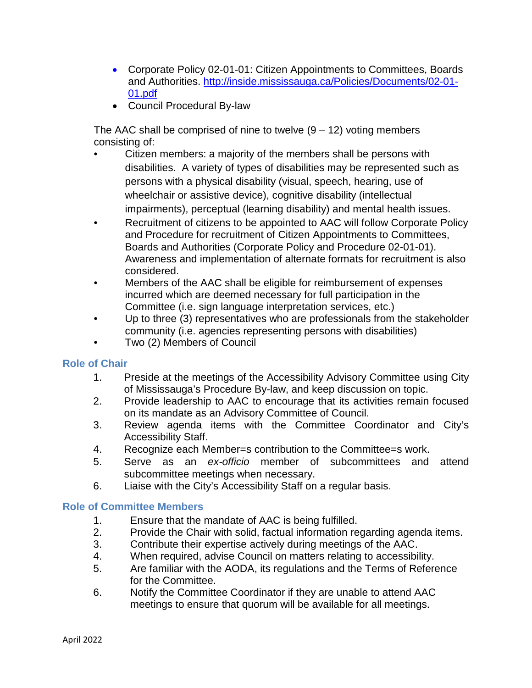- Corporate Policy 02-01-01: Citizen Appointments to Committees, Boards and Authorities. [http://inside.mississauga.ca/Policies/Documents/02-01-](http://inside.mississauga.ca/Policies/Documents/02-01-01.pdf) [01.pdf](http://inside.mississauga.ca/Policies/Documents/02-01-01.pdf)
- Council Procedural By-law

The AAC shall be comprised of nine to twelve  $(9 - 12)$  voting members consisting of:

- Citizen members: a majority of the members shall be persons with disabilities. A variety of types of disabilities may be represented such as persons with a physical disability (visual, speech, hearing, use of wheelchair or assistive device), cognitive disability (intellectual impairments), perceptual (learning disability) and mental health issues.
- Recruitment of citizens to be appointed to AAC will follow Corporate Policy and Procedure for recruitment of Citizen Appointments to Committees, Boards and Authorities (Corporate Policy and Procedure 02-01-01). Awareness and implementation of alternate formats for recruitment is also considered.
- Members of the AAC shall be eligible for reimbursement of expenses incurred which are deemed necessary for full participation in the Committee (i.e. sign language interpretation services, etc.)
- Up to three (3) representatives who are professionals from the stakeholder community (i.e. agencies representing persons with disabilities)
- Two (2) Members of Council

# **Role of Chair**

- 1. Preside at the meetings of the Accessibility Advisory Committee using City of Mississauga's Procedure By-law, and keep discussion on topic.
- 2. Provide leadership to AAC to encourage that its activities remain focused on its mandate as an Advisory Committee of Council.
- 3. Review agenda items with the Committee Coordinator and City's Accessibility Staff.
- 4. Recognize each Member=s contribution to the Committee=s work.
- 5. Serve as an *ex-officio* member of subcommittees and attend subcommittee meetings when necessary.
- 6. Liaise with the City's Accessibility Staff on a regular basis.

# **Role of Committee Members**

- 1. Ensure that the mandate of AAC is being fulfilled.
- 2. Provide the Chair with solid, factual information regarding agenda items.
- 3. Contribute their expertise actively during meetings of the AAC.
- 4. When required, advise Council on matters relating to accessibility.
- 5. Are familiar with the AODA, its regulations and the Terms of Reference for the Committee.
- 6. Notify the Committee Coordinator if they are unable to attend AAC meetings to ensure that quorum will be available for all meetings.